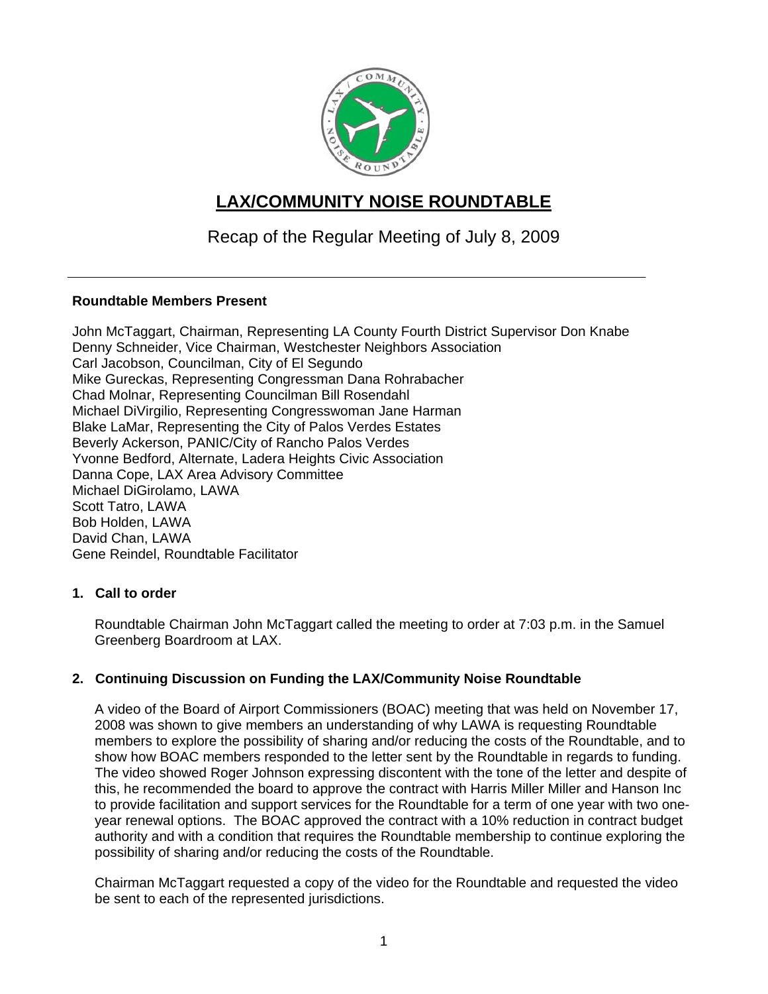

# **LAX/COMMUNITY NOISE ROUNDTABLE**

Recap of the Regular Meeting of July 8, 2009

# **Roundtable Members Present**

John McTaggart, Chairman, Representing LA County Fourth District Supervisor Don Knabe Denny Schneider, Vice Chairman, Westchester Neighbors Association Carl Jacobson, Councilman, City of El Segundo Mike Gureckas, Representing Congressman Dana Rohrabacher Chad Molnar, Representing Councilman Bill Rosendahl Michael DiVirgilio, Representing Congresswoman Jane Harman Blake LaMar, Representing the City of Palos Verdes Estates Beverly Ackerson, PANIC/City of Rancho Palos Verdes Yvonne Bedford, Alternate, Ladera Heights Civic Association Danna Cope, LAX Area Advisory Committee Michael DiGirolamo, LAWA Scott Tatro, LAWA Bob Holden, LAWA David Chan, LAWA Gene Reindel, Roundtable Facilitator

# **1. Call to order**

Roundtable Chairman John McTaggart called the meeting to order at 7:03 p.m. in the Samuel Greenberg Boardroom at LAX.

# **2. Continuing Discussion on Funding the LAX/Community Noise Roundtable**

A video of the Board of Airport Commissioners (BOAC) meeting that was held on November 17, 2008 was shown to give members an understanding of why LAWA is requesting Roundtable members to explore the possibility of sharing and/or reducing the costs of the Roundtable, and to show how BOAC members responded to the letter sent by the Roundtable in regards to funding. The video showed Roger Johnson expressing discontent with the tone of the letter and despite of this, he recommended the board to approve the contract with Harris Miller Miller and Hanson Inc to provide facilitation and support services for the Roundtable for a term of one year with two oneyear renewal options. The BOAC approved the contract with a 10% reduction in contract budget authority and with a condition that requires the Roundtable membership to continue exploring the possibility of sharing and/or reducing the costs of the Roundtable.

Chairman McTaggart requested a copy of the video for the Roundtable and requested the video be sent to each of the represented jurisdictions.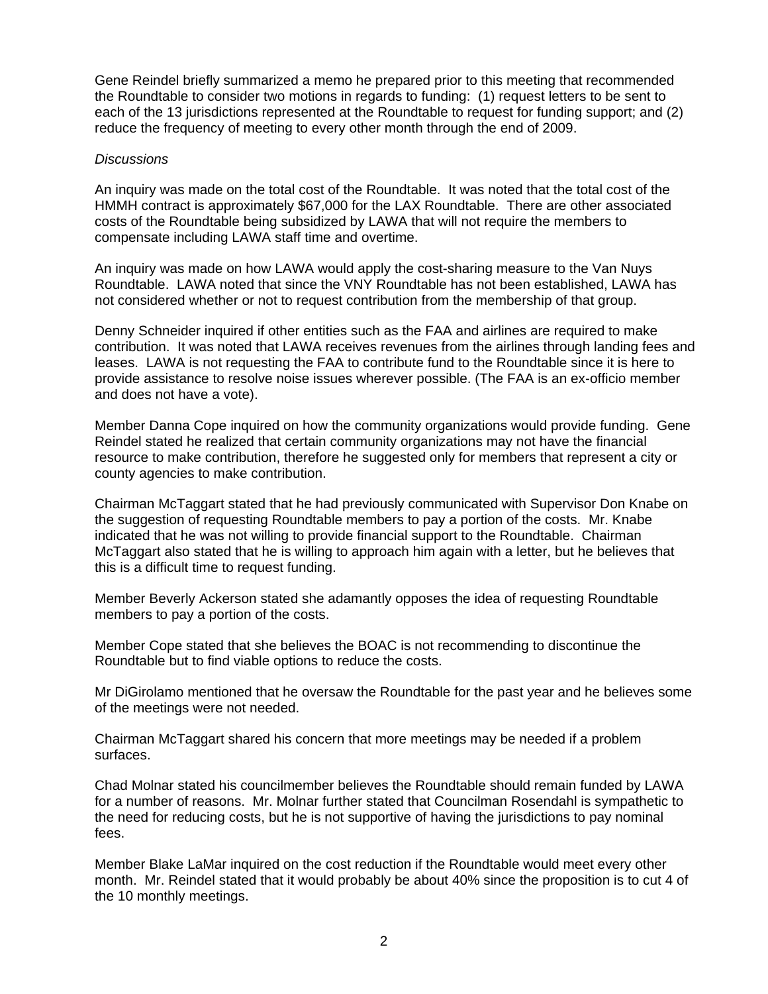Gene Reindel briefly summarized a memo he prepared prior to this meeting that recommended the Roundtable to consider two motions in regards to funding: (1) request letters to be sent to each of the 13 jurisdictions represented at the Roundtable to request for funding support; and (2) reduce the frequency of meeting to every other month through the end of 2009.

#### *Discussions*

An inquiry was made on the total cost of the Roundtable. It was noted that the total cost of the HMMH contract is approximately \$67,000 for the LAX Roundtable. There are other associated costs of the Roundtable being subsidized by LAWA that will not require the members to compensate including LAWA staff time and overtime.

An inquiry was made on how LAWA would apply the cost-sharing measure to the Van Nuys Roundtable. LAWA noted that since the VNY Roundtable has not been established, LAWA has not considered whether or not to request contribution from the membership of that group.

Denny Schneider inquired if other entities such as the FAA and airlines are required to make contribution. It was noted that LAWA receives revenues from the airlines through landing fees and leases. LAWA is not requesting the FAA to contribute fund to the Roundtable since it is here to provide assistance to resolve noise issues wherever possible. (The FAA is an ex-officio member and does not have a vote).

Member Danna Cope inquired on how the community organizations would provide funding. Gene Reindel stated he realized that certain community organizations may not have the financial resource to make contribution, therefore he suggested only for members that represent a city or county agencies to make contribution.

Chairman McTaggart stated that he had previously communicated with Supervisor Don Knabe on the suggestion of requesting Roundtable members to pay a portion of the costs. Mr. Knabe indicated that he was not willing to provide financial support to the Roundtable. Chairman McTaggart also stated that he is willing to approach him again with a letter, but he believes that this is a difficult time to request funding.

Member Beverly Ackerson stated she adamantly opposes the idea of requesting Roundtable members to pay a portion of the costs.

Member Cope stated that she believes the BOAC is not recommending to discontinue the Roundtable but to find viable options to reduce the costs.

Mr DiGirolamo mentioned that he oversaw the Roundtable for the past year and he believes some of the meetings were not needed.

Chairman McTaggart shared his concern that more meetings may be needed if a problem surfaces.

Chad Molnar stated his councilmember believes the Roundtable should remain funded by LAWA for a number of reasons. Mr. Molnar further stated that Councilman Rosendahl is sympathetic to the need for reducing costs, but he is not supportive of having the jurisdictions to pay nominal fees.

Member Blake LaMar inquired on the cost reduction if the Roundtable would meet every other month. Mr. Reindel stated that it would probably be about 40% since the proposition is to cut 4 of the 10 monthly meetings.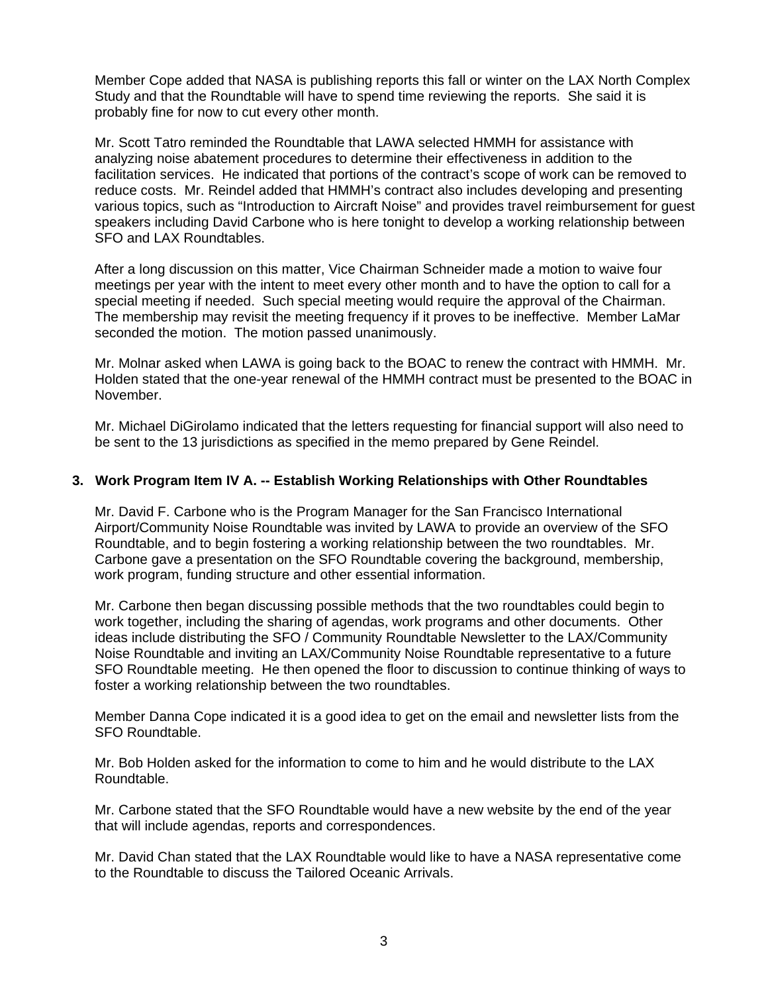Member Cope added that NASA is publishing reports this fall or winter on the LAX North Complex Study and that the Roundtable will have to spend time reviewing the reports. She said it is probably fine for now to cut every other month.

Mr. Scott Tatro reminded the Roundtable that LAWA selected HMMH for assistance with analyzing noise abatement procedures to determine their effectiveness in addition to the facilitation services. He indicated that portions of the contract's scope of work can be removed to reduce costs. Mr. Reindel added that HMMH's contract also includes developing and presenting various topics, such as "Introduction to Aircraft Noise" and provides travel reimbursement for guest speakers including David Carbone who is here tonight to develop a working relationship between SFO and LAX Roundtables.

After a long discussion on this matter, Vice Chairman Schneider made a motion to waive four meetings per year with the intent to meet every other month and to have the option to call for a special meeting if needed. Such special meeting would require the approval of the Chairman. The membership may revisit the meeting frequency if it proves to be ineffective. Member LaMar seconded the motion. The motion passed unanimously.

Mr. Molnar asked when LAWA is going back to the BOAC to renew the contract with HMMH. Mr. Holden stated that the one-year renewal of the HMMH contract must be presented to the BOAC in November.

Mr. Michael DiGirolamo indicated that the letters requesting for financial support will also need to be sent to the 13 jurisdictions as specified in the memo prepared by Gene Reindel.

## **3. Work Program Item IV A. -- Establish Working Relationships with Other Roundtables**

Mr. David F. Carbone who is the Program Manager for the San Francisco International Airport/Community Noise Roundtable was invited by LAWA to provide an overview of the SFO Roundtable, and to begin fostering a working relationship between the two roundtables. Mr. Carbone gave a presentation on the SFO Roundtable covering the background, membership, work program, funding structure and other essential information.

Mr. Carbone then began discussing possible methods that the two roundtables could begin to work together, including the sharing of agendas, work programs and other documents. Other ideas include distributing the SFO / Community Roundtable Newsletter to the LAX/Community Noise Roundtable and inviting an LAX/Community Noise Roundtable representative to a future SFO Roundtable meeting. He then opened the floor to discussion to continue thinking of ways to foster a working relationship between the two roundtables.

Member Danna Cope indicated it is a good idea to get on the email and newsletter lists from the SFO Roundtable.

Mr. Bob Holden asked for the information to come to him and he would distribute to the LAX Roundtable.

Mr. Carbone stated that the SFO Roundtable would have a new website by the end of the year that will include agendas, reports and correspondences.

Mr. David Chan stated that the LAX Roundtable would like to have a NASA representative come to the Roundtable to discuss the Tailored Oceanic Arrivals.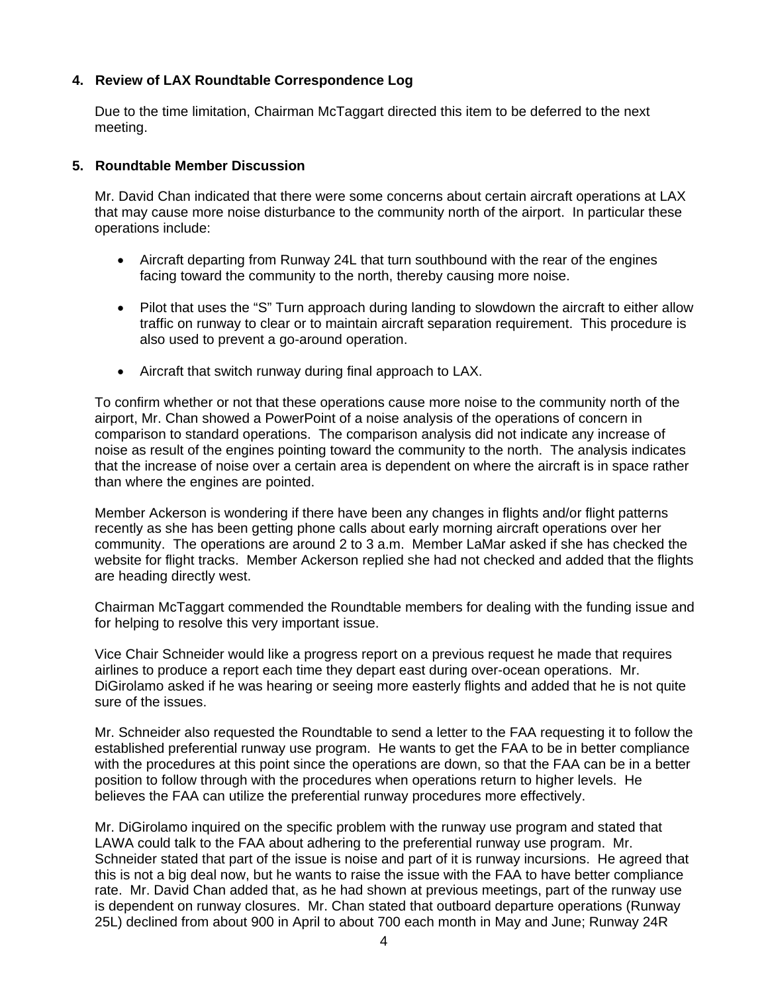# **4. Review of LAX Roundtable Correspondence Log**

Due to the time limitation, Chairman McTaggart directed this item to be deferred to the next meeting.

### **5. Roundtable Member Discussion**

Mr. David Chan indicated that there were some concerns about certain aircraft operations at LAX that may cause more noise disturbance to the community north of the airport. In particular these operations include:

- Aircraft departing from Runway 24L that turn southbound with the rear of the engines facing toward the community to the north, thereby causing more noise.
- Pilot that uses the "S" Turn approach during landing to slowdown the aircraft to either allow traffic on runway to clear or to maintain aircraft separation requirement. This procedure is also used to prevent a go-around operation.
- Aircraft that switch runway during final approach to LAX.

To confirm whether or not that these operations cause more noise to the community north of the airport, Mr. Chan showed a PowerPoint of a noise analysis of the operations of concern in comparison to standard operations. The comparison analysis did not indicate any increase of noise as result of the engines pointing toward the community to the north. The analysis indicates that the increase of noise over a certain area is dependent on where the aircraft is in space rather than where the engines are pointed.

Member Ackerson is wondering if there have been any changes in flights and/or flight patterns recently as she has been getting phone calls about early morning aircraft operations over her community. The operations are around 2 to 3 a.m. Member LaMar asked if she has checked the website for flight tracks. Member Ackerson replied she had not checked and added that the flights are heading directly west.

Chairman McTaggart commended the Roundtable members for dealing with the funding issue and for helping to resolve this very important issue.

Vice Chair Schneider would like a progress report on a previous request he made that requires airlines to produce a report each time they depart east during over-ocean operations. Mr. DiGirolamo asked if he was hearing or seeing more easterly flights and added that he is not quite sure of the issues.

Mr. Schneider also requested the Roundtable to send a letter to the FAA requesting it to follow the established preferential runway use program. He wants to get the FAA to be in better compliance with the procedures at this point since the operations are down, so that the FAA can be in a better position to follow through with the procedures when operations return to higher levels. He believes the FAA can utilize the preferential runway procedures more effectively.

Mr. DiGirolamo inquired on the specific problem with the runway use program and stated that LAWA could talk to the FAA about adhering to the preferential runway use program. Mr. Schneider stated that part of the issue is noise and part of it is runway incursions. He agreed that this is not a big deal now, but he wants to raise the issue with the FAA to have better compliance rate. Mr. David Chan added that, as he had shown at previous meetings, part of the runway use is dependent on runway closures. Mr. Chan stated that outboard departure operations (Runway 25L) declined from about 900 in April to about 700 each month in May and June; Runway 24R